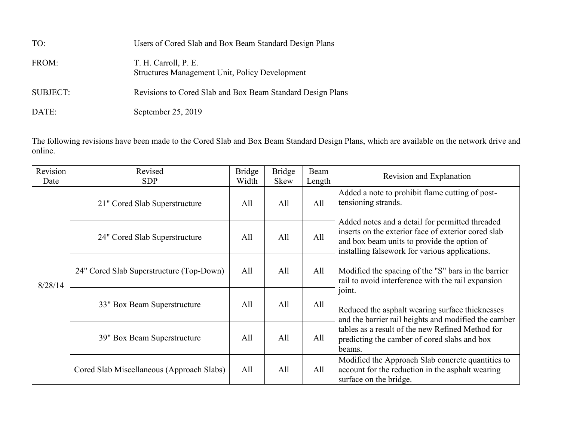| TO:             | Users of Cored Slab and Box Beam Standard Design Plans                        |
|-----------------|-------------------------------------------------------------------------------|
| FROM:           | T. H. Carroll, P. E.<br><b>Structures Management Unit, Policy Development</b> |
| <b>SUBJECT:</b> | Revisions to Cored Slab and Box Beam Standard Design Plans                    |
| DATE:           | September 25, 2019                                                            |

The following revisions have been made to the Cored Slab and Box Beam Standard Design Plans, which are available on the network drive and online.

| Revision | Revised                                   | <b>Bridge</b> | <b>Bridge</b> | Beam   | Revision and Explanation                                                                                                                                                                                                                                                                                             |
|----------|-------------------------------------------|---------------|---------------|--------|----------------------------------------------------------------------------------------------------------------------------------------------------------------------------------------------------------------------------------------------------------------------------------------------------------------------|
| Date     | <b>SDP</b>                                | Width         | <b>Skew</b>   | Length |                                                                                                                                                                                                                                                                                                                      |
| 8/28/14  | 21" Cored Slab Superstructure             | All           | All           | All    | Added a note to prohibit flame cutting of post-<br>tensioning strands.                                                                                                                                                                                                                                               |
|          | 24" Cored Slab Superstructure             | All           | All           | All    | Added notes and a detail for permitted threaded<br>inserts on the exterior face of exterior cored slab<br>and box beam units to provide the option of<br>installing falsework for various applications.<br>Modified the spacing of the "S" bars in the barrier<br>rail to avoid interference with the rail expansion |
|          | 24" Cored Slab Superstructure (Top-Down)  | All           | All           | All    |                                                                                                                                                                                                                                                                                                                      |
|          | 33" Box Beam Superstructure               | All           | All           | All    | joint.<br>Reduced the asphalt wearing surface thicknesses<br>and the barrier rail heights and modified the camber                                                                                                                                                                                                    |
|          | 39" Box Beam Superstructure               | All           | All           | All    | tables as a result of the new Refined Method for<br>predicting the camber of cored slabs and box<br>beams.                                                                                                                                                                                                           |
|          | Cored Slab Miscellaneous (Approach Slabs) | All           | All           | All    | Modified the Approach Slab concrete quantities to<br>account for the reduction in the asphalt wearing<br>surface on the bridge.                                                                                                                                                                                      |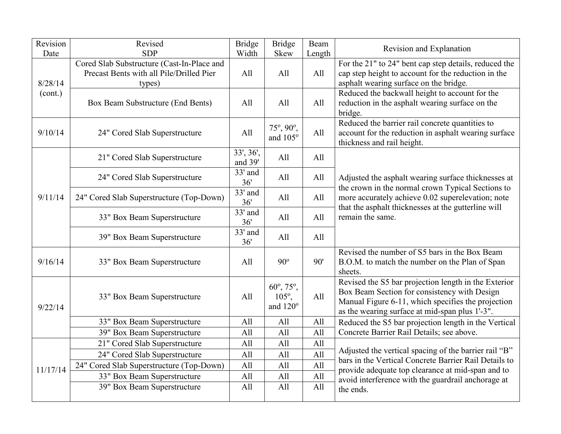| Revision | Revised                                                                                          | <b>Bridge</b>        | <b>Bridge</b>                            | Beam   | Revision and Explanation                                                                                                                                                                                     |
|----------|--------------------------------------------------------------------------------------------------|----------------------|------------------------------------------|--------|--------------------------------------------------------------------------------------------------------------------------------------------------------------------------------------------------------------|
| Date     | <b>SDP</b>                                                                                       | Width                | Skew                                     | Length |                                                                                                                                                                                                              |
| 8/28/14  | Cored Slab Substructure (Cast-In-Place and<br>Precast Bents with all Pile/Drilled Pier<br>types) | All                  | All                                      | All    | For the 21" to 24" bent cap step details, reduced the<br>cap step height to account for the reduction in the<br>asphalt wearing surface on the bridge.                                                       |
| (cont.)  | Box Beam Substructure (End Bents)                                                                | All                  | All                                      | All    | Reduced the backwall height to account for the<br>reduction in the asphalt wearing surface on the<br>bridge.                                                                                                 |
| 9/10/14  | 24" Cored Slab Superstructure                                                                    | All                  | 75°, 90°,<br>and 105°                    | All    | Reduced the barrier rail concrete quantities to<br>account for the reduction in asphalt wearing surface<br>thickness and rail height.                                                                        |
|          | 21" Cored Slab Superstructure                                                                    | 33', 36',<br>and 39' | All                                      | All    |                                                                                                                                                                                                              |
|          | 24" Cored Slab Superstructure                                                                    | 33' and<br>36'       | All                                      | All    | Adjusted the asphalt wearing surface thicknesses at<br>the crown in the normal crown Typical Sections to                                                                                                     |
| 9/11/14  | 24" Cored Slab Superstructure (Top-Down)                                                         | 33' and<br>36'       | All                                      | All    | more accurately achieve 0.02 superelevation; note<br>that the asphalt thicknesses at the gutterline will<br>remain the same.                                                                                 |
|          | 33" Box Beam Superstructure                                                                      | 33' and<br>36'       | All                                      | All    |                                                                                                                                                                                                              |
|          | 39" Box Beam Superstructure                                                                      | 33' and<br>36'       | All                                      | All    |                                                                                                                                                                                                              |
| 9/16/14  | 33" Box Beam Superstructure                                                                      | All                  | $90^\circ$                               | 90'    | Revised the number of S5 bars in the Box Beam<br>B.O.M. to match the number on the Plan of Span<br>sheets.                                                                                                   |
| 9/22/14  | 33" Box Beam Superstructure                                                                      | All                  | 60°, 75°,<br>$105^{\circ}$ ,<br>and 120° | All    | Revised the S5 bar projection length in the Exterior<br>Box Beam Section for consistency with Design<br>Manual Figure 6-11, which specifies the projection<br>as the wearing surface at mid-span plus 1'-3". |
|          | 33" Box Beam Superstructure                                                                      | All                  | All                                      | All    | Reduced the S5 bar projection length in the Vertical                                                                                                                                                         |
|          | 39" Box Beam Superstructure                                                                      | All                  | All                                      | All    | Concrete Barrier Rail Details; see above.                                                                                                                                                                    |
| 11/17/14 | 21" Cored Slab Superstructure                                                                    | All                  | All                                      | All    |                                                                                                                                                                                                              |
|          | 24" Cored Slab Superstructure                                                                    | All                  | All                                      | All    | Adjusted the vertical spacing of the barrier rail "B"<br>bars in the Vertical Concrete Barrier Rail Details to                                                                                               |
|          | 24" Cored Slab Superstructure (Top-Down)                                                         | All                  | All                                      | All    | provide adequate top clearance at mid-span and to                                                                                                                                                            |
|          | 33" Box Beam Superstructure                                                                      | All                  | All                                      | All    | avoid interference with the guardrail anchorage at                                                                                                                                                           |
|          | 39" Box Beam Superstructure                                                                      | All                  | All                                      | All    | the ends.                                                                                                                                                                                                    |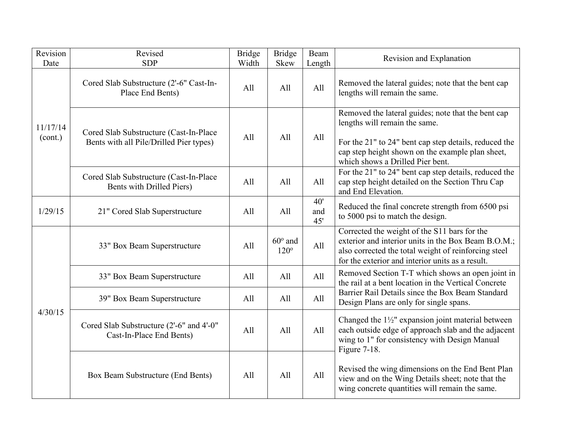| Revision<br>Date    | Revised<br><b>SDP</b>                                                             | <b>Bridge</b><br>Width | <b>Bridge</b><br><b>Skew</b>    | Beam<br>Length    | Revision and Explanation                                                                                                                                                                                                             |
|---------------------|-----------------------------------------------------------------------------------|------------------------|---------------------------------|-------------------|--------------------------------------------------------------------------------------------------------------------------------------------------------------------------------------------------------------------------------------|
| 11/17/14<br>(cont.) | Cored Slab Substructure (2'-6" Cast-In-<br>Place End Bents)                       | All                    | All                             | All               | Removed the lateral guides; note that the bent cap<br>lengths will remain the same.                                                                                                                                                  |
|                     | Cored Slab Substructure (Cast-In-Place<br>Bents with all Pile/Drilled Pier types) | All                    | All                             | All               | Removed the lateral guides; note that the bent cap<br>lengths will remain the same.<br>For the 21" to 24" bent cap step details, reduced the<br>cap step height shown on the example plan sheet,<br>which shows a Drilled Pier bent. |
|                     | Cored Slab Substructure (Cast-In-Place<br>Bents with Drilled Piers)               | All                    | All                             | All               | For the 21" to 24" bent cap step details, reduced the<br>cap step height detailed on the Section Thru Cap<br>and End Elevation.                                                                                                      |
| 1/29/15             | 21" Cored Slab Superstructure                                                     | All                    | All                             | 40'<br>and<br>45' | Reduced the final concrete strength from 6500 psi<br>to 5000 psi to match the design.                                                                                                                                                |
| 4/30/15             | 33" Box Beam Superstructure                                                       | All                    | $60^{\circ}$ and<br>$120^\circ$ | All               | Corrected the weight of the S11 bars for the<br>exterior and interior units in the Box Beam B.O.M.;<br>also corrected the total weight of reinforcing steel<br>for the exterior and interior units as a result.                      |
|                     | 33" Box Beam Superstructure                                                       | All                    | All                             | All               | Removed Section T-T which shows an open joint in<br>the rail at a bent location in the Vertical Concrete                                                                                                                             |
|                     | 39" Box Beam Superstructure                                                       | All                    | All                             | All               | Barrier Rail Details since the Box Beam Standard<br>Design Plans are only for single spans.                                                                                                                                          |
|                     | Cored Slab Substructure (2'-6" and 4'-0"<br>Cast-In-Place End Bents)              | All                    | All                             | All               | Changed the $1\frac{1}{2}$ " expansion joint material between<br>each outside edge of approach slab and the adjacent<br>wing to 1" for consistency with Design Manual<br>Figure 7-18.                                                |
|                     | Box Beam Substructure (End Bents)                                                 | All                    | All                             | All               | Revised the wing dimensions on the End Bent Plan<br>view and on the Wing Details sheet; note that the<br>wing concrete quantities will remain the same.                                                                              |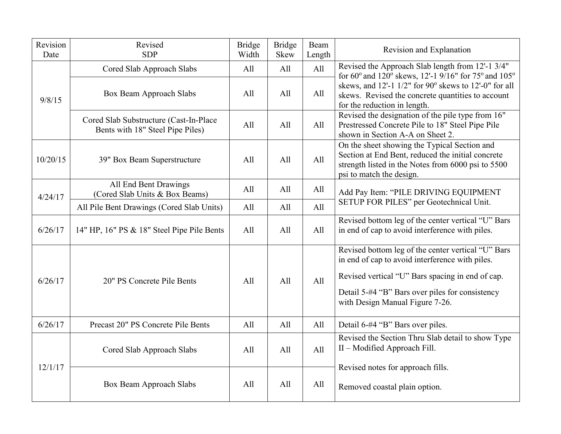| Revision<br>Date | Revised<br><b>SDP</b>                                                      | <b>Bridge</b><br>Width | <b>Bridge</b><br>Skew | <b>Beam</b><br>Length | Revision and Explanation                                                                                                                                                                                                                        |
|------------------|----------------------------------------------------------------------------|------------------------|-----------------------|-----------------------|-------------------------------------------------------------------------------------------------------------------------------------------------------------------------------------------------------------------------------------------------|
|                  | Cored Slab Approach Slabs                                                  | All                    | All                   | All                   | Revised the Approach Slab length from 12'-1 3/4"<br>for 60° and 120° skews, 12'-1 9/16" for 75° and 105°                                                                                                                                        |
| 9/8/15           | Box Beam Approach Slabs                                                    | All                    | All                   | All                   | skews, and 12'-1 1/2" for 90° skews to 12'-0" for all<br>skews. Revised the concrete quantities to account<br>for the reduction in length.                                                                                                      |
|                  | Cored Slab Substructure (Cast-In-Place<br>Bents with 18" Steel Pipe Piles) | All                    | All                   | All                   | Revised the designation of the pile type from 16"<br>Prestressed Concrete Pile to 18" Steel Pipe Pile<br>shown in Section A-A on Sheet 2.                                                                                                       |
| 10/20/15         | 39" Box Beam Superstructure                                                | All                    | All                   | All                   | On the sheet showing the Typical Section and<br>Section at End Bent, reduced the initial concrete<br>strength listed in the Notes from 6000 psi to 5500<br>psi to match the design.                                                             |
| 4/24/17          | All End Bent Drawings<br>(Cored Slab Units & Box Beams)                    | All                    | All                   | All                   | Add Pay Item: "PILE DRIVING EQUIPMENT                                                                                                                                                                                                           |
|                  | All Pile Bent Drawings (Cored Slab Units)                                  | All                    | All                   | All                   | SETUP FOR PILES" per Geotechnical Unit.                                                                                                                                                                                                         |
| 6/26/17          | 14" HP, 16" PS & 18" Steel Pipe Pile Bents                                 | All                    | All                   | All                   | Revised bottom leg of the center vertical "U" Bars<br>in end of cap to avoid interference with piles.                                                                                                                                           |
| 6/26/17          | 20" PS Concrete Pile Bents                                                 | All                    | A11                   | All                   | Revised bottom leg of the center vertical "U" Bars<br>in end of cap to avoid interference with piles.<br>Revised vertical "U" Bars spacing in end of cap.<br>Detail 5-#4 "B" Bars over piles for consistency<br>with Design Manual Figure 7-26. |
| 6/26/17          | Precast 20" PS Concrete Pile Bents                                         | All                    | All                   | All                   | Detail 6-#4 "B" Bars over piles.                                                                                                                                                                                                                |
| 12/1/17          | Cored Slab Approach Slabs                                                  | All                    | All                   | All                   | Revised the Section Thru Slab detail to show Type<br>II - Modified Approach Fill.                                                                                                                                                               |
|                  | Box Beam Approach Slabs                                                    | All                    | All                   | All                   | Revised notes for approach fills.<br>Removed coastal plain option.                                                                                                                                                                              |